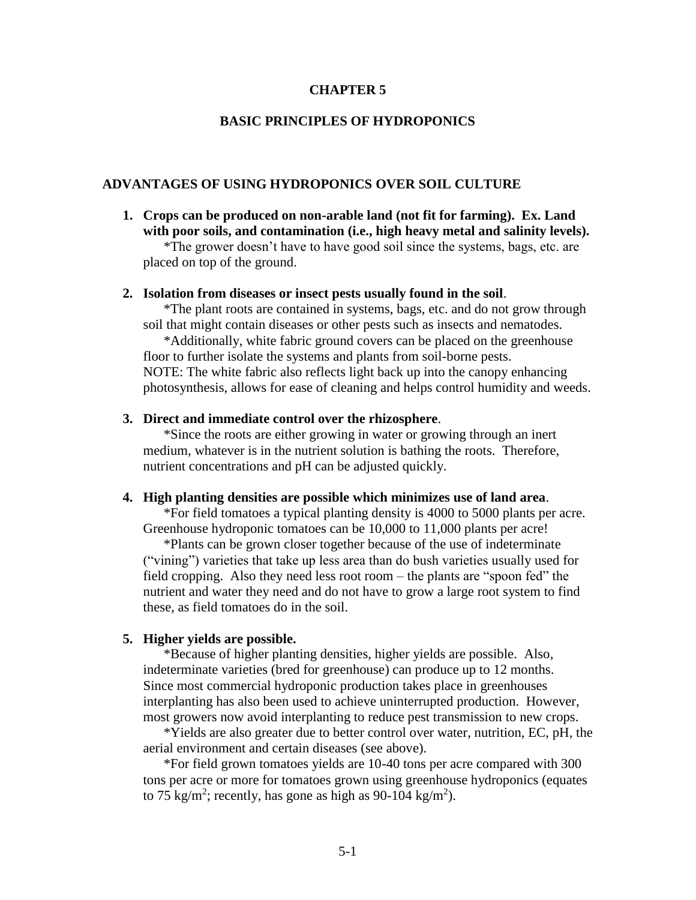## **CHAPTER 5**

## **BASIC PRINCIPLES OF HYDROPONICS**

### **ADVANTAGES OF USING HYDROPONICS OVER SOIL CULTURE**

**1. Crops can be produced on non-arable land (not fit for farming). Ex. Land with poor soils, and contamination (i.e., high heavy metal and salinity levels).** 

\*The grower doesn't have to have good soil since the systems, bags, etc. are placed on top of the ground.

#### **2. Isolation from diseases or insect pests usually found in the soil**.

\*The plant roots are contained in systems, bags, etc. and do not grow through soil that might contain diseases or other pests such as insects and nematodes.

\*Additionally, white fabric ground covers can be placed on the greenhouse floor to further isolate the systems and plants from soil-borne pests. NOTE: The white fabric also reflects light back up into the canopy enhancing photosynthesis, allows for ease of cleaning and helps control humidity and weeds.

## **3. Direct and immediate control over the rhizosphere**.

\*Since the roots are either growing in water or growing through an inert medium, whatever is in the nutrient solution is bathing the roots. Therefore, nutrient concentrations and pH can be adjusted quickly.

#### **4. High planting densities are possible which minimizes use of land area**.

\*For field tomatoes a typical planting density is 4000 to 5000 plants per acre. Greenhouse hydroponic tomatoes can be 10,000 to 11,000 plants per acre!

 \*Plants can be grown closer together because of the use of indeterminate ("vining") varieties that take up less area than do bush varieties usually used for field cropping. Also they need less root room – the plants are "spoon fed" the nutrient and water they need and do not have to grow a large root system to find these, as field tomatoes do in the soil.

### **5. Higher yields are possible.**

 \*Because of higher planting densities, higher yields are possible. Also, indeterminate varieties (bred for greenhouse) can produce up to 12 months. Since most commercial hydroponic production takes place in greenhouses interplanting has also been used to achieve uninterrupted production. However, most growers now avoid interplanting to reduce pest transmission to new crops.

 \*Yields are also greater due to better control over water, nutrition, EC, pH, the aerial environment and certain diseases (see above).

\*For field grown tomatoes yields are 10-40 tons per acre compared with 300 tons per acre or more for tomatoes grown using greenhouse hydroponics (equates to 75 kg/m<sup>2</sup>; recently, has gone as high as 90-104 kg/m<sup>2</sup>).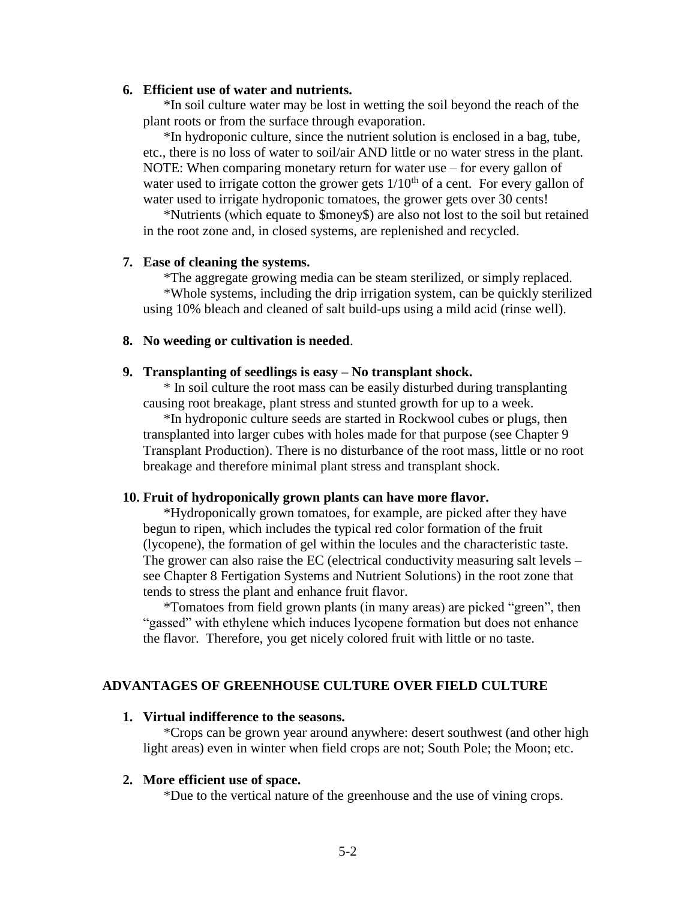## **6. Efficient use of water and nutrients.**

\*In soil culture water may be lost in wetting the soil beyond the reach of the plant roots or from the surface through evaporation.

\*In hydroponic culture, since the nutrient solution is enclosed in a bag, tube, etc., there is no loss of water to soil/air AND little or no water stress in the plant. NOTE: When comparing monetary return for water use – for every gallon of water used to irrigate cotton the grower gets  $1/10<sup>th</sup>$  of a cent. For every gallon of water used to irrigate hydroponic tomatoes, the grower gets over 30 cents!

\*Nutrients (which equate to \$money\$) are also not lost to the soil but retained in the root zone and, in closed systems, are replenished and recycled.

## **7. Ease of cleaning the systems.**

\*The aggregate growing media can be steam sterilized, or simply replaced. \*Whole systems, including the drip irrigation system, can be quickly sterilized using 10% bleach and cleaned of salt build-ups using a mild acid (rinse well).

### **8. No weeding or cultivation is needed**.

## **9. Transplanting of seedlings is easy – No transplant shock.**

 \* In soil culture the root mass can be easily disturbed during transplanting causing root breakage, plant stress and stunted growth for up to a week.

\*In hydroponic culture seeds are started in Rockwool cubes or plugs, then transplanted into larger cubes with holes made for that purpose (see Chapter 9 Transplant Production). There is no disturbance of the root mass, little or no root breakage and therefore minimal plant stress and transplant shock.

#### **10. Fruit of hydroponically grown plants can have more flavor.**

\*Hydroponically grown tomatoes, for example, are picked after they have begun to ripen, which includes the typical red color formation of the fruit (lycopene), the formation of gel within the locules and the characteristic taste. The grower can also raise the EC (electrical conductivity measuring salt levels – see Chapter 8 Fertigation Systems and Nutrient Solutions) in the root zone that tends to stress the plant and enhance fruit flavor.

\*Tomatoes from field grown plants (in many areas) are picked "green", then "gassed" with ethylene which induces lycopene formation but does not enhance the flavor. Therefore, you get nicely colored fruit with little or no taste.

### **ADVANTAGES OF GREENHOUSE CULTURE OVER FIELD CULTURE**

#### **1. Virtual indifference to the seasons.**

\*Crops can be grown year around anywhere: desert southwest (and other high light areas) even in winter when field crops are not; South Pole; the Moon; etc.

#### **2. More efficient use of space.**

\*Due to the vertical nature of the greenhouse and the use of vining crops.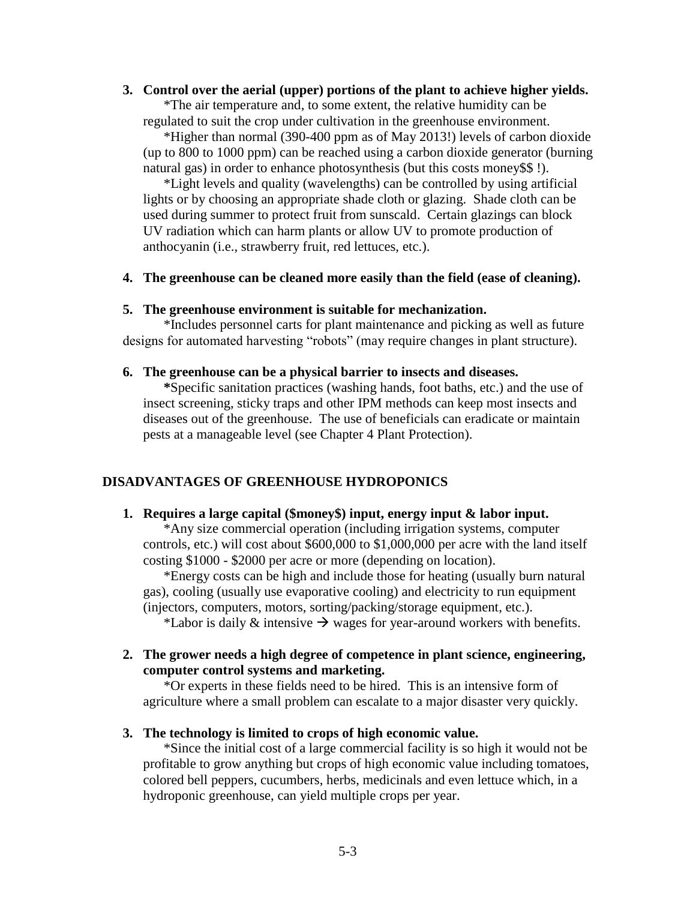### **3. Control over the aerial (upper) portions of the plant to achieve higher yields.**

\*The air temperature and, to some extent, the relative humidity can be regulated to suit the crop under cultivation in the greenhouse environment.

\*Higher than normal (390-400 ppm as of May 2013!) levels of carbon dioxide (up to 800 to 1000 ppm) can be reached using a carbon dioxide generator (burning natural gas) in order to enhance photosynthesis (but this costs money\$\$ !).

 \*Light levels and quality (wavelengths) can be controlled by using artificial lights or by choosing an appropriate shade cloth or glazing. Shade cloth can be used during summer to protect fruit from sunscald. Certain glazings can block UV radiation which can harm plants or allow UV to promote production of anthocyanin (i.e., strawberry fruit, red lettuces, etc.).

**4. The greenhouse can be cleaned more easily than the field (ease of cleaning).**

## **5. The greenhouse environment is suitable for mechanization.**

\*Includes personnel carts for plant maintenance and picking as well as future designs for automated harvesting "robots" (may require changes in plant structure).

## **6. The greenhouse can be a physical barrier to insects and diseases.**

 **\***Specific sanitation practices (washing hands, foot baths, etc.) and the use of insect screening, sticky traps and other IPM methods can keep most insects and diseases out of the greenhouse. The use of beneficials can eradicate or maintain pests at a manageable level (see Chapter 4 Plant Protection).

# **DISADVANTAGES OF GREENHOUSE HYDROPONICS**

## **1. Requires a large capital (\$money\$) input, energy input & labor input.**

\*Any size commercial operation (including irrigation systems, computer controls, etc.) will cost about \$600,000 to \$1,000,000 per acre with the land itself costing \$1000 - \$2000 per acre or more (depending on location).

\*Energy costs can be high and include those for heating (usually burn natural gas), cooling (usually use evaporative cooling) and electricity to run equipment (injectors, computers, motors, sorting/packing/storage equipment, etc.).

\*Labor is daily  $\&$  intensive  $\rightarrow$  wages for year-around workers with benefits.

**2. The grower needs a high degree of competence in plant science, engineering, computer control systems and marketing.**

\*Or experts in these fields need to be hired. This is an intensive form of agriculture where a small problem can escalate to a major disaster very quickly.

## **3. The technology is limited to crops of high economic value.**

\*Since the initial cost of a large commercial facility is so high it would not be profitable to grow anything but crops of high economic value including tomatoes, colored bell peppers, cucumbers, herbs, medicinals and even lettuce which, in a hydroponic greenhouse, can yield multiple crops per year.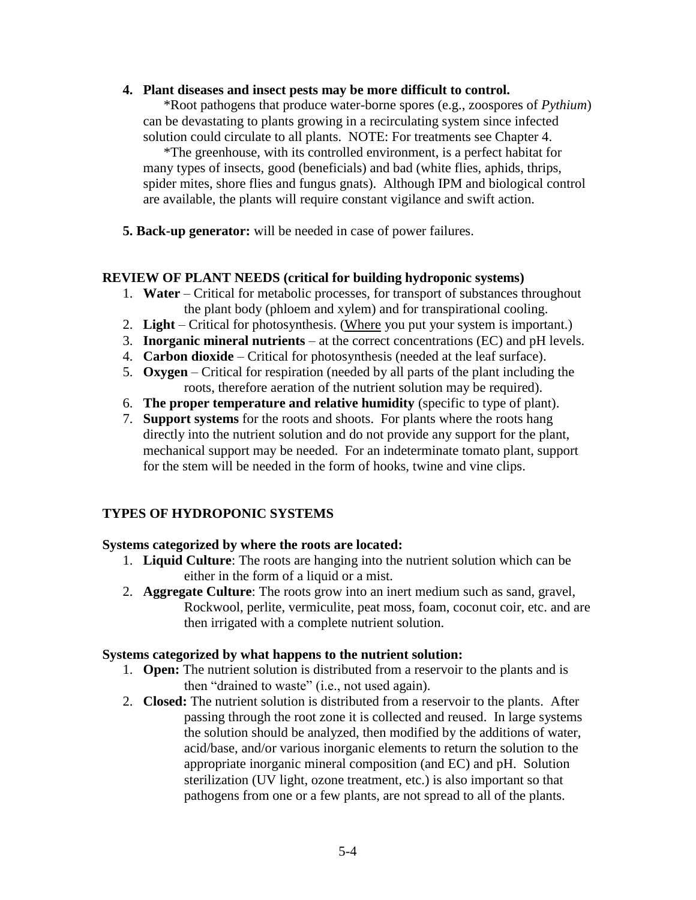**4. Plant diseases and insect pests may be more difficult to control.**

\*Root pathogens that produce water-borne spores (e.g., zoospores of *Pythium*) can be devastating to plants growing in a recirculating system since infected solution could circulate to all plants. NOTE: For treatments see Chapter 4.

\*The greenhouse, with its controlled environment, is a perfect habitat for many types of insects, good (beneficials) and bad (white flies, aphids, thrips, spider mites, shore flies and fungus gnats). Although IPM and biological control are available, the plants will require constant vigilance and swift action.

**5. Back-up generator:** will be needed in case of power failures.

# **REVIEW OF PLANT NEEDS (critical for building hydroponic systems)**

- 1. **Water** Critical for metabolic processes, for transport of substances throughout the plant body (phloem and xylem) and for transpirational cooling.
- 2. **Light** Critical for photosynthesis. (Where you put your system is important.)
- 3. **Inorganic mineral nutrients** at the correct concentrations (EC) and pH levels.
- 4. **Carbon dioxide** Critical for photosynthesis (needed at the leaf surface).
- 5. **Oxygen** Critical for respiration (needed by all parts of the plant including the roots, therefore aeration of the nutrient solution may be required).
- 6. **The proper temperature and relative humidity** (specific to type of plant).
- 7. **Support systems** for the roots and shoots. For plants where the roots hang directly into the nutrient solution and do not provide any support for the plant, mechanical support may be needed. For an indeterminate tomato plant, support for the stem will be needed in the form of hooks, twine and vine clips.

# **TYPES OF HYDROPONIC SYSTEMS**

# **Systems categorized by where the roots are located:**

- 1. **Liquid Culture**: The roots are hanging into the nutrient solution which can be either in the form of a liquid or a mist.
- 2. **Aggregate Culture**: The roots grow into an inert medium such as sand, gravel, Rockwool, perlite, vermiculite, peat moss, foam, coconut coir, etc. and are then irrigated with a complete nutrient solution.

## **Systems categorized by what happens to the nutrient solution:**

- 1. **Open:** The nutrient solution is distributed from a reservoir to the plants and is then "drained to waste" (i.e., not used again).
- 2. **Closed:** The nutrient solution is distributed from a reservoir to the plants. After passing through the root zone it is collected and reused. In large systems the solution should be analyzed, then modified by the additions of water, acid/base, and/or various inorganic elements to return the solution to the appropriate inorganic mineral composition (and EC) and pH. Solution sterilization (UV light, ozone treatment, etc.) is also important so that pathogens from one or a few plants, are not spread to all of the plants.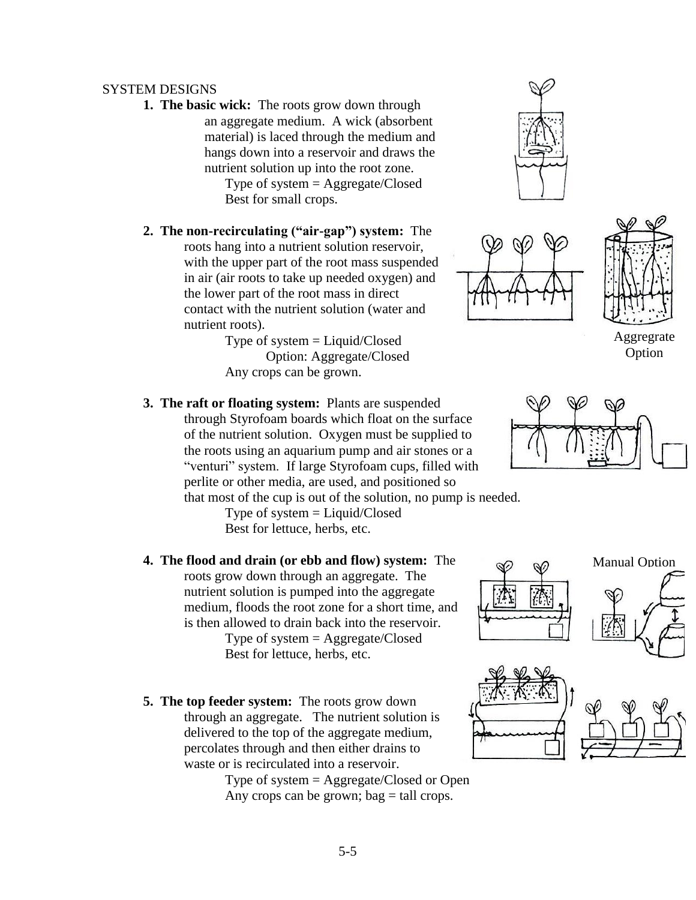# SYSTEM DESIGNS

**1. The basic wick:** The roots grow down through an aggregate medium. A wick (absorbent material) is laced through the medium and hangs down into a reservoir and draws the nutrient solution up into the root zone.

Type of system = Aggregate/Closed Best for small crops.

- **2. The non-recirculating ("air-gap") system:** The roots hang into a nutrient solution reservoir, with the upper part of the root mass suspended in air (air roots to take up needed oxygen) and the lower part of the root mass in direct contact with the nutrient solution (water and nutrient roots).
	- Type of system = Liquid/Closed Option: Aggregate/Closed Any crops can be grown.
- 
- **3. The raft or floating system:** Plants are suspended through Styrofoam boards which float on the surface of the nutrient solution. Oxygen must be supplied to the roots using an aquarium pump and air stones or a "venturi" system. If large Styrofoam cups, filled with perlite or other media, are used, and positioned so

that most of the cup is out of the solution, no pump is needed. Type of system  $=$  Liquid/Closed

Best for lettuce, herbs, etc.

- **4. The flood and drain (or ebb and flow) system:** The roots grow down through an aggregate. The nutrient solution is pumped into the aggregate medium, floods the root zone for a short time, and is then allowed to drain back into the reservoir. Type of system = Aggregate/Closed Best for lettuce, herbs, etc.
- **5. The top feeder system:** The roots grow down through an aggregate. The nutrient solution is delivered to the top of the aggregate medium, percolates through and then either drains to waste or is recirculated into a reservoir.

Type of system = Aggregate/Closed or Open Any crops can be grown;  $bag = tall$  crops.





Aggregrate Option